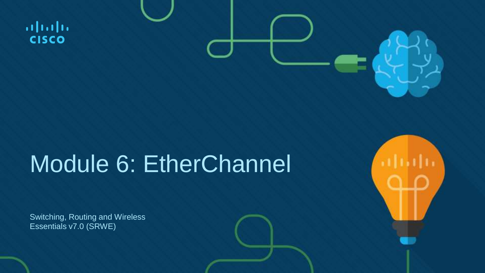**CISCO** 

## Module 6: EtherChannel

Switching, Routing and Wireless Essentials v7.0 (SRWE)

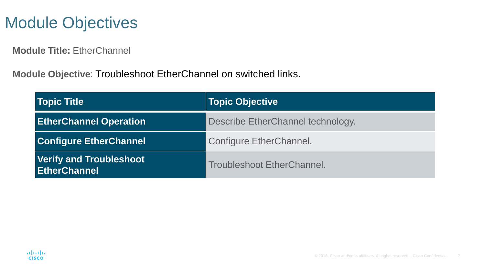#### Module Objectives

**Module Title:** EtherChannel

**Module Objective**: Troubleshoot EtherChannel on switched links.

| <b>Topic Title</b>                                    | Topic Objective                   |
|-------------------------------------------------------|-----------------------------------|
| <b>EtherChannel Operation</b>                         | Describe EtherChannel technology. |
| <b>Configure EtherChannel</b>                         | Configure EtherChannel.           |
| <b>Verify and Troubleshoot</b><br><b>EtherChannel</b> | <b>Troubleshoot EtherChannel.</b> |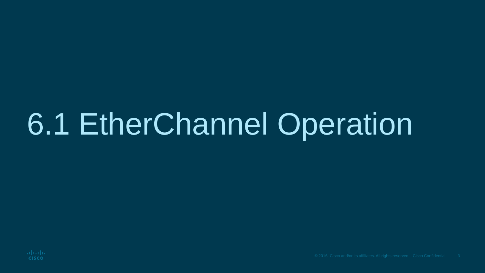## 6.1 EtherChannel Operation

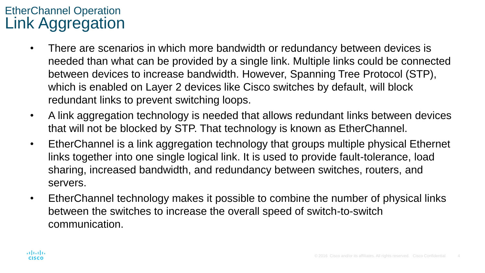#### EtherChannel Operation Link Aggregation

- There are scenarios in which more bandwidth or redundancy between devices is needed than what can be provided by a single link. Multiple links could be connected between devices to increase bandwidth. However, Spanning Tree Protocol (STP), which is enabled on Layer 2 devices like Cisco switches by default, will block redundant links to prevent switching loops.
- A link aggregation technology is needed that allows redundant links between devices that will not be blocked by STP. That technology is known as EtherChannel.
- EtherChannel is a link aggregation technology that groups multiple physical Ethernet links together into one single logical link. It is used to provide fault-tolerance, load sharing, increased bandwidth, and redundancy between switches, routers, and servers.
- EtherChannel technology makes it possible to combine the number of physical links between the switches to increase the overall speed of switch-to-switch communication.

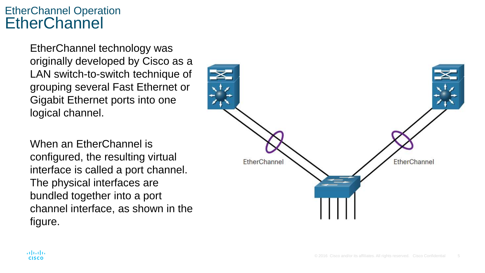#### EtherChannel Operation **EtherChannel**

EtherChannel technology was originally developed by Cisco as a LAN switch-to-switch technique of grouping several Fast Ethernet or Gigabit Ethernet ports into one logical channel.

When an EtherChannel is configured, the resulting virtual interface is called a port channel. The physical interfaces are bundled together into a port channel interface, as shown in the figure.

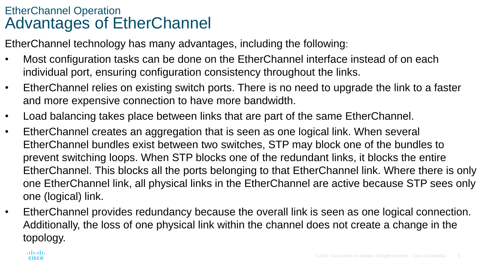#### EtherChannel Operation Advantages of EtherChannel

EtherChannel technology has many advantages, including the following:

- Most configuration tasks can be done on the EtherChannel interface instead of on each individual port, ensuring configuration consistency throughout the links.
- EtherChannel relies on existing switch ports. There is no need to upgrade the link to a faster and more expensive connection to have more bandwidth.
- Load balancing takes place between links that are part of the same EtherChannel.
- EtherChannel creates an aggregation that is seen as one logical link. When several EtherChannel bundles exist between two switches, STP may block one of the bundles to prevent switching loops. When STP blocks one of the redundant links, it blocks the entire EtherChannel. This blocks all the ports belonging to that EtherChannel link. Where there is only one EtherChannel link, all physical links in the EtherChannel are active because STP sees only one (logical) link.
- EtherChannel provides redundancy because the overall link is seen as one logical connection. Additionally, the loss of one physical link within the channel does not create a change in the topology.

albaha **CISCO**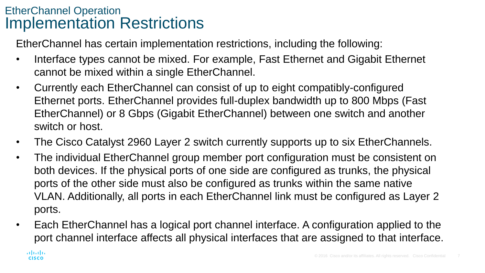#### EtherChannel Operation Implementation Restrictions

EtherChannel has certain implementation restrictions, including the following:

- Interface types cannot be mixed. For example, Fast Ethernet and Gigabit Ethernet cannot be mixed within a single EtherChannel.
- Currently each EtherChannel can consist of up to eight compatibly-configured Ethernet ports. EtherChannel provides full-duplex bandwidth up to 800 Mbps (Fast EtherChannel) or 8 Gbps (Gigabit EtherChannel) between one switch and another switch or host.
- The Cisco Catalyst 2960 Layer 2 switch currently supports up to six EtherChannels.
- The individual EtherChannel group member port configuration must be consistent on both devices. If the physical ports of one side are configured as trunks, the physical ports of the other side must also be configured as trunks within the same native VLAN. Additionally, all ports in each EtherChannel link must be configured as Layer 2 ports.
- Each EtherChannel has a logical port channel interface. A configuration applied to the port channel interface affects all physical interfaces that are assigned to that interface.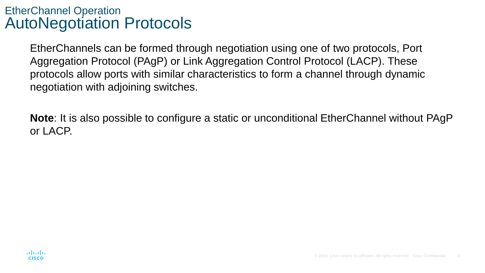#### EtherChannel Operation AutoNegotiation Protocols

EtherChannels can be formed through negotiation using one of two protocols, Port Aggregation Protocol (PAgP) or Link Aggregation Control Protocol (LACP). These protocols allow ports with similar characteristics to form a channel through dynamic negotiation with adjoining switches.

**Note**: It is also possible to configure a static or unconditional EtherChannel without PAgP or LACP.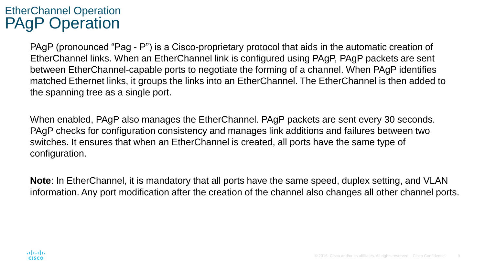#### EtherChannel Operation PAgP Operation

PAgP (pronounced "Pag - P") is a Cisco-proprietary protocol that aids in the automatic creation of EtherChannel links. When an EtherChannel link is configured using PAgP, PAgP packets are sent between EtherChannel-capable ports to negotiate the forming of a channel. When PAgP identifies matched Ethernet links, it groups the links into an EtherChannel. The EtherChannel is then added to the spanning tree as a single port.

When enabled, PAgP also manages the EtherChannel. PAgP packets are sent every 30 seconds. PAgP checks for configuration consistency and manages link additions and failures between two switches. It ensures that when an EtherChannel is created, all ports have the same type of configuration.

**Note**: In EtherChannel, it is mandatory that all ports have the same speed, duplex setting, and VLAN information. Any port modification after the creation of the channel also changes all other channel ports.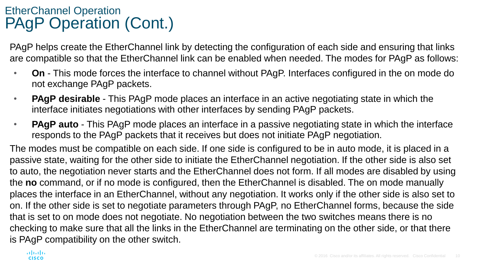#### EtherChannel Operation PAgP Operation (Cont.)

PAgP helps create the EtherChannel link by detecting the configuration of each side and ensuring that links are compatible so that the EtherChannel link can be enabled when needed. The modes for PAgP as follows:

- **On** This mode forces the interface to channel without PAgP. Interfaces configured in the on mode do not exchange PAgP packets.
- **PAgP desirable** This PAgP mode places an interface in an active negotiating state in which the interface initiates negotiations with other interfaces by sending PAgP packets.
- **PAgP auto** This PAgP mode places an interface in a passive negotiating state in which the interface responds to the PAgP packets that it receives but does not initiate PAgP negotiation.

The modes must be compatible on each side. If one side is configured to be in auto mode, it is placed in a passive state, waiting for the other side to initiate the EtherChannel negotiation. If the other side is also set to auto, the negotiation never starts and the EtherChannel does not form. If all modes are disabled by using the **no** command, or if no mode is configured, then the EtherChannel is disabled. The on mode manually places the interface in an EtherChannel, without any negotiation. It works only if the other side is also set to on. If the other side is set to negotiate parameters through PAgP, no EtherChannel forms, because the side that is set to on mode does not negotiate. No negotiation between the two switches means there is no checking to make sure that all the links in the EtherChannel are terminating on the other side, or that there is PAgP compatibility on the other switch.

aludu. **CISCO**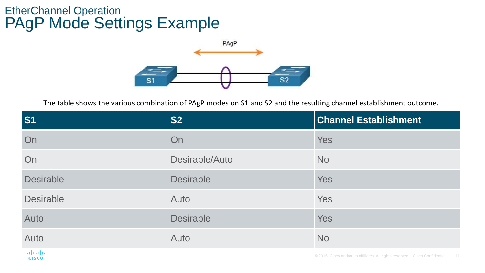#### EtherChannel Operation PAgP Mode Settings Example



The table shows the various combination of PAgP modes on S1 and S2 and the resulting channel establishment outcome.

| S <sub>1</sub>   | <b>S2</b>        | <b>Channel Establishment</b> |
|------------------|------------------|------------------------------|
| On               | On               | Yes                          |
| On               | Desirable/Auto   | <b>No</b>                    |
| <b>Desirable</b> | <b>Desirable</b> | Yes                          |
| <b>Desirable</b> | Auto             | Yes                          |
| Auto             | <b>Desirable</b> | <b>Yes</b>                   |
| Auto             | Auto             | <b>No</b>                    |
| المتعاقبات       |                  |                              |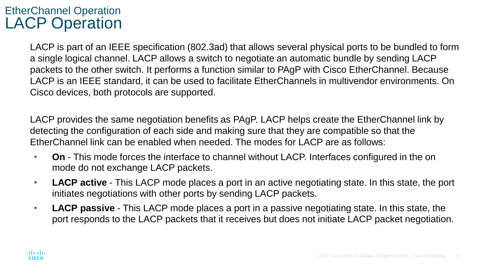#### EtherChannel Operation LACP Operation

LACP is part of an IEEE specification (802.3ad) that allows several physical ports to be bundled to form a single logical channel. LACP allows a switch to negotiate an automatic bundle by sending LACP packets to the other switch. It performs a function similar to PAgP with Cisco EtherChannel. Because LACP is an IEEE standard, it can be used to facilitate EtherChannels in multivendor environments. On Cisco devices, both protocols are supported.

LACP provides the same negotiation benefits as PAgP. LACP helps create the EtherChannel link by detecting the configuration of each side and making sure that they are compatible so that the EtherChannel link can be enabled when needed. The modes for LACP are as follows:

- **On** This mode forces the interface to channel without LACP. Interfaces configured in the on mode do not exchange LACP packets.
- **LACP active** This LACP mode places a port in an active negotiating state. In this state, the port initiates negotiations with other ports by sending LACP packets.
- **LACP passive** This LACP mode places a port in a passive negotiating state. In this state, the port responds to the LACP packets that it receives but does not initiate LACP packet negotiation.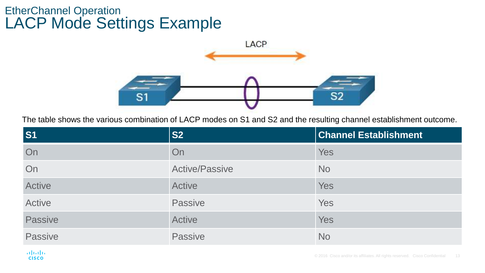#### EtherChannel Operation LACP Mode Settings Example



The table shows the various combination of LACP modes on S1 and S2 and the resulting channel establishment outcome.

| <b>S1</b>     | <b>S2</b>             | <b>Channel Establishment</b> |
|---------------|-----------------------|------------------------------|
| On            | On                    | Yes                          |
| On            | <b>Active/Passive</b> | <b>No</b>                    |
| Active        | Active                | Yes                          |
| <b>Active</b> | Passive               | Yes                          |
| Passive       | Active                | <b>Yes</b>                   |
| Passive       | Passive               | <b>No</b>                    |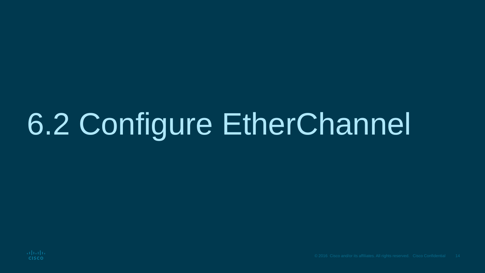## 6.2 Configure EtherChannel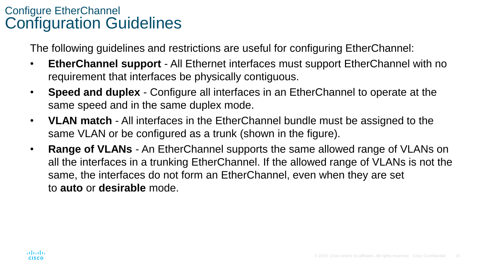#### Configure EtherChannel Configuration Guidelines

The following guidelines and restrictions are useful for configuring EtherChannel:

- **EtherChannel support** All Ethernet interfaces must support EtherChannel with no requirement that interfaces be physically contiguous.
- **Speed and duplex** Configure all interfaces in an EtherChannel to operate at the same speed and in the same duplex mode.
- **VLAN match** All interfaces in the EtherChannel bundle must be assigned to the same VLAN or be configured as a trunk (shown in the figure).
- **Range of VLANs** An EtherChannel supports the same allowed range of VLANs on all the interfaces in a trunking EtherChannel. If the allowed range of VLANs is not the same, the interfaces do not form an EtherChannel, even when they are set to **auto** or **desirable** mode.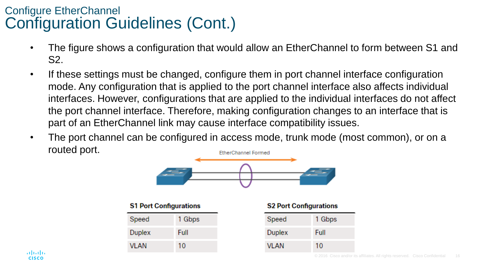#### Configure EtherChannel Configuration Guidelines (Cont.)

- The figure shows a configuration that would allow an EtherChannel to form between S1 and S2.
- If these settings must be changed, configure them in port channel interface configuration mode. Any configuration that is applied to the port channel interface also affects individual interfaces. However, configurations that are applied to the individual interfaces do not affect the port channel interface. Therefore, making configuration changes to an interface that is part of an EtherChannel link may cause interface compatibility issues.
- The port channel can be configured in access mode, trunk mode (most common), or on a routed port.**EtherChannel Formed**



**S1 Port Configurations** 

| Speed         | 1 Gbps |
|---------------|--------|
| <b>Duplex</b> | Full   |
| VLAN          | 10     |

#### **S2 Port Configurations**

| Speed         | 1 Gbps |
|---------------|--------|
| <b>Duplex</b> | Full   |
| VLAN          | 10     |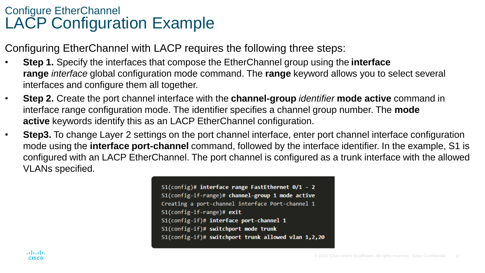#### Configure EtherChannel LACP Configuration Example

Configuring EtherChannel with LACP requires the following three steps:

- **Step 1.** Specify the interfaces that compose the EtherChannel group using the **interface range** *interface* global configuration mode command. The **range** keyword allows you to select several interfaces and configure them all together.
- **Step 2.** Create the port channel interface with the **channel-group** *identifier* **mode active** command in interface range configuration mode. The identifier specifies a channel group number. The **mode active** keywords identify this as an LACP EtherChannel configuration.
- **Step3.** To change Layer 2 settings on the port channel interface, enter port channel interface configuration mode using the **interface port-channel** command, followed by the interface identifier. In the example, S1 is configured with an LACP EtherChannel. The port channel is configured as a trunk interface with the allowed VLANs specified.

S1(config)# interface range FastEthernet 0/1 - 2 S1(config-if-range)# channel-group 1 mode active Creating a port-channel interface Port-channel 1 S1(config-if-range)# exit S1(config-if)# interface port-channel 1 S1(config-if)# switchport mode trunk S1(config-if)# switchport trunk allowed vlan 1,2,20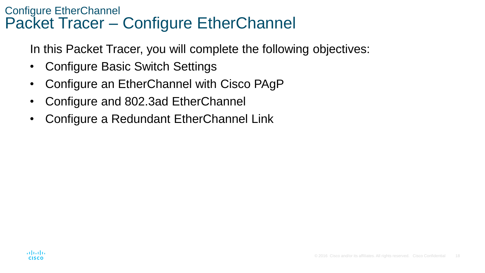#### Configure EtherChannel Packet Tracer – Configure EtherChannel

In this Packet Tracer, you will complete the following objectives:

- Configure Basic Switch Settings
- Configure an EtherChannel with Cisco PAgP
- Configure and 802.3ad EtherChannel
- Configure a Redundant EtherChannel Link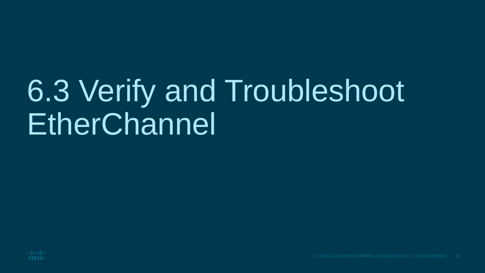## 6.3 Verify and Troubleshoot **EtherChannel**

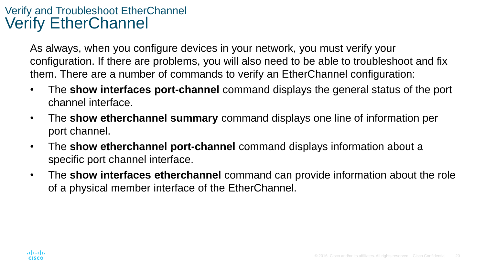#### Verify and Troubleshoot EtherChannel Verify EtherChannel

As always, when you configure devices in your network, you must verify your configuration. If there are problems, you will also need to be able to troubleshoot and fix them. There are a number of commands to verify an EtherChannel configuration:

- The **show interfaces port-channel** command displays the general status of the port channel interface.
- The **show etherchannel summary** command displays one line of information per port channel.
- The **show etherchannel port-channel** command displays information about a specific port channel interface.
- The **show interfaces etherchannel** command can provide information about the role of a physical member interface of the EtherChannel.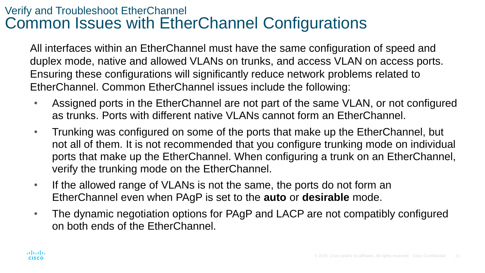#### Verify and Troubleshoot EtherChannel Common Issues with EtherChannel Configurations

All interfaces within an EtherChannel must have the same configuration of speed and duplex mode, native and allowed VLANs on trunks, and access VLAN on access ports. Ensuring these configurations will significantly reduce network problems related to EtherChannel. Common EtherChannel issues include the following:

- Assigned ports in the EtherChannel are not part of the same VLAN, or not configured as trunks. Ports with different native VLANs cannot form an EtherChannel.
- Trunking was configured on some of the ports that make up the EtherChannel, but not all of them. It is not recommended that you configure trunking mode on individual ports that make up the EtherChannel. When configuring a trunk on an EtherChannel, verify the trunking mode on the EtherChannel.
- If the allowed range of VLANs is not the same, the ports do not form an EtherChannel even when PAgP is set to the **auto** or **desirable** mode.
- The dynamic negotiation options for PAgP and LACP are not compatibly configured on both ends of the EtherChannel.

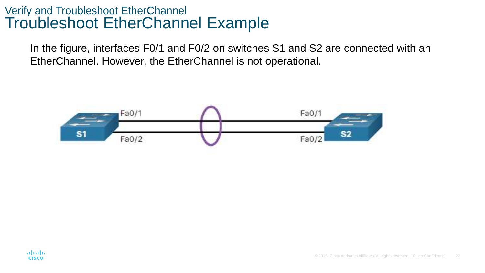In the figure, interfaces F0/1 and F0/2 on switches S1 and S2 are connected with an EtherChannel. However, the EtherChannel is not operational.

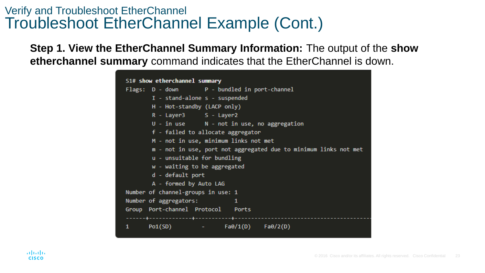**Step 1. View the EtherChannel Summary Information:** The output of the **show etherchannel summary** command indicates that the EtherChannel is down.

|                                               | S1# show etherchannel summary                                    |  |  |  |  |
|-----------------------------------------------|------------------------------------------------------------------|--|--|--|--|
|                                               | Flags: D - down P - bundled in port-channel                      |  |  |  |  |
|                                               | I - stand-alone s - suspended                                    |  |  |  |  |
|                                               | H - Hot-standby (LACP only)                                      |  |  |  |  |
|                                               | $R - Layer3$ $S - Layer2$                                        |  |  |  |  |
| $U - in use$ $N - not in use, no aggregation$ |                                                                  |  |  |  |  |
|                                               | f - failed to allocate aggregator                                |  |  |  |  |
|                                               | M - not in use, minimum links not met                            |  |  |  |  |
|                                               | m - not in use, port not aggregated due to minimum links not met |  |  |  |  |
|                                               | u - unsuitable for bundling                                      |  |  |  |  |
| w - waiting to be aggregated                  |                                                                  |  |  |  |  |
| d - default port                              |                                                                  |  |  |  |  |
| A - formed by Auto LAG                        |                                                                  |  |  |  |  |
|                                               | Number of channel-groups in use: 1                               |  |  |  |  |
|                                               | Number of aggregators:                                           |  |  |  |  |
|                                               | Group Port-channel Protocol Ports                                |  |  |  |  |
|                                               |                                                                  |  |  |  |  |
|                                               | 1 Po1(SD) - Fa0/1(D) Fa0/2(D)                                    |  |  |  |  |
|                                               |                                                                  |  |  |  |  |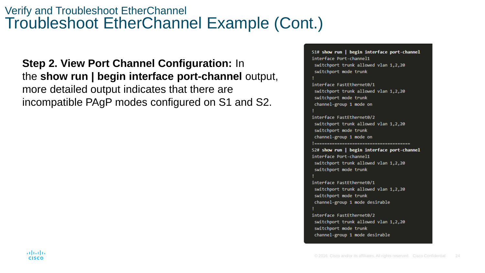**Step 2. View Port Channel Configuration:** In the **show run | begin interface port-channel** output, more detailed output indicates that there are incompatible PAgP modes configured on S1 and S2.

S1# show run | begin interface port-channel interface Port-channel1 switchport trunk allowed vlan 1,2,20 switchport mode trunk

interface FastEthernet0/1 switchport trunk allowed vlan 1,2,20 switchport mode trunk channel-group 1 mode on

interface EastEthernet0/2 switchport trunk allowed vlan 1,2,20 switchport mode trunk channel-group 1 mode on 

S2# show run | begin interface port-channel interface Port-channel1 switchport trunk allowed vlan 1,2,20 switchport mode trunk

interface FastEthernet0/1 switchport trunk allowed vlan 1,2,20 switchport mode trunk channel-group 1 mode desirable

interface FastEthernet0/2 switchport trunk allowed vlan 1,2,20 switchport mode trunk channel-group 1 mode desirable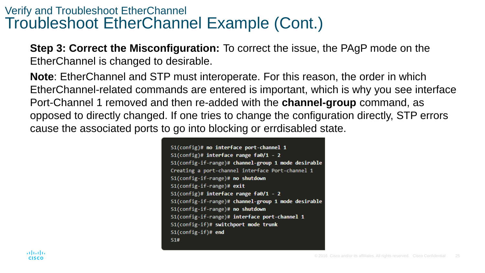**Step 3: Correct the Misconfiguration:** To correct the issue, the PAgP mode on the EtherChannel is changed to desirable.

**Note**: EtherChannel and STP must interoperate. For this reason, the order in which EtherChannel-related commands are entered is important, which is why you see interface Port-Channel 1 removed and then re-added with the **channel-group** command, as opposed to directly changed. If one tries to change the configuration directly, STP errors cause the associated ports to go into blocking or errdisabled state.

```
S1(config)# no interface port-channel 1
S1(config)# interface range fa0/1 - 2
S1(config-if-range)# channel-group 1 mode desirable
Creating a port-channel interface Port-channel 1
S1(config-if-range)# no shutdown
S1(config-if-range)# exit
51(config)# interface range fa0/1 - 2
S1(config-if-range)# channel-group 1 mode desirable
S1(config-if-range)# no shutdown
S1(config-if-range)# interface port-channel 1
S1(config-if)# switchport mode trunk
S1(config-if)# end
51#
```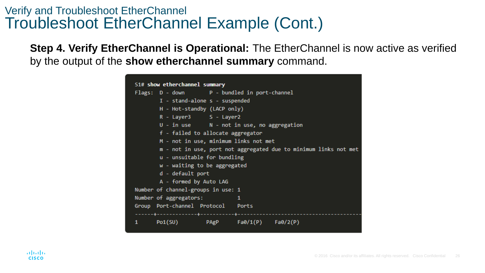**Step 4. Verify EtherChannel is Operational:** The EtherChannel is now active as verified by the output of the **show etherchannel summary** command.

| S1# show etherchannel summary                                    |          |  |  |  |
|------------------------------------------------------------------|----------|--|--|--|
| Flags: D - down P - bundled in port-channel                      |          |  |  |  |
| I - stand-alone s - suspended                                    |          |  |  |  |
| H - Hot-standby (LACP only)                                      |          |  |  |  |
| R - Layer3 S - Layer2                                            |          |  |  |  |
| $U - in use$ $N - not in use, no aggregation$                    |          |  |  |  |
| f - failed to allocate aggregator                                |          |  |  |  |
| M - not in use, minimum links not met                            |          |  |  |  |
| m - not in use, port not aggregated due to minimum links not met |          |  |  |  |
| u - unsuitable for bundling                                      |          |  |  |  |
| w - waiting to be aggregated                                     |          |  |  |  |
| d - default port                                                 |          |  |  |  |
| A - formed by Auto LAG                                           |          |  |  |  |
| Number of channel-groups in use: 1                               |          |  |  |  |
| Number of aggregators:                                           | $\sim$ 1 |  |  |  |
| Group Port-channel Protocol Ports                                |          |  |  |  |
|                                                                  |          |  |  |  |
| 1 Po1(SU) PAgP Fa0/1(P) Fa0/2(P)                                 |          |  |  |  |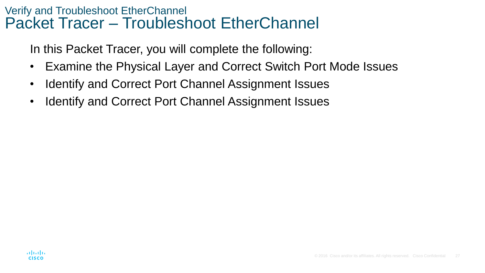#### Verify and Troubleshoot EtherChannel Packet Tracer – Troubleshoot EtherChannel

In this Packet Tracer, you will complete the following:

- Examine the Physical Layer and Correct Switch Port Mode Issues
- Identify and Correct Port Channel Assignment Issues
- Identify and Correct Port Channel Assignment Issues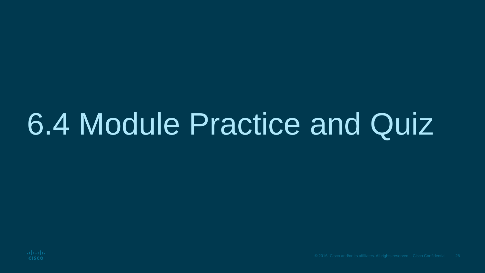## 6.4 Module Practice and Quiz

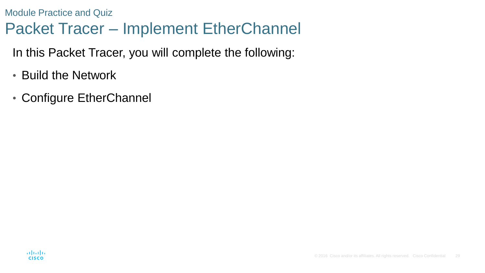Module Practice and Quiz

### Packet Tracer – Implement EtherChannel

In this Packet Tracer, you will complete the following:

- Build the Network
- Configure EtherChannel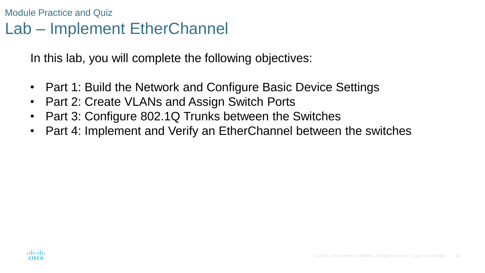#### Module Practice and Quiz Lab – Implement EtherChannel

In this lab, you will complete the following objectives:

- Part 1: Build the Network and Configure Basic Device Settings
- Part 2: Create VLANs and Assign Switch Ports
- Part 3: Configure 802.1Q Trunks between the Switches
- Part 4: Implement and Verify an EtherChannel between the switches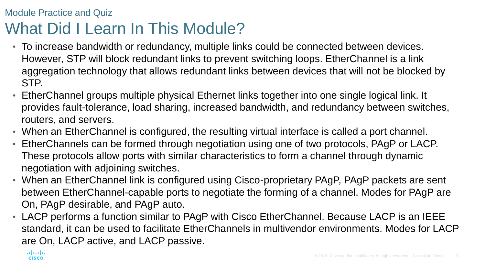#### Module Practice and Quiz What Did I Learn In This Module?

- To increase bandwidth or redundancy, multiple links could be connected between devices. However, STP will block redundant links to prevent switching loops. EtherChannel is a link aggregation technology that allows redundant links between devices that will not be blocked by STP.
- EtherChannel groups multiple physical Ethernet links together into one single logical link. It provides fault-tolerance, load sharing, increased bandwidth, and redundancy between switches, routers, and servers.
- When an EtherChannel is configured, the resulting virtual interface is called a port channel.
- EtherChannels can be formed through negotiation using one of two protocols, PAgP or LACP. These protocols allow ports with similar characteristics to form a channel through dynamic negotiation with adjoining switches.
- When an EtherChannel link is configured using Cisco-proprietary PAgP, PAgP packets are sent between EtherChannel-capable ports to negotiate the forming of a channel. Modes for PAgP are On, PAgP desirable, and PAgP auto.
- LACP performs a function similar to PAgP with Cisco EtherChannel. Because LACP is an IEEE standard, it can be used to facilitate EtherChannels in multivendor environments. Modes for LACP are On, LACP active, and LACP passive.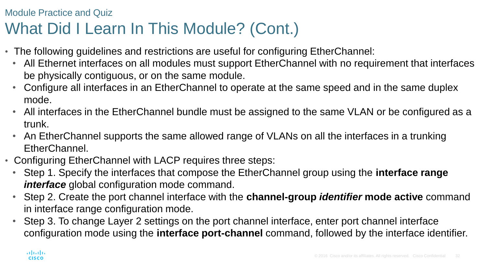#### Module Practice and Quiz What Did I Learn In This Module? (Cont.)

- The following guidelines and restrictions are useful for configuring EtherChannel:
	- All Ethernet interfaces on all modules must support EtherChannel with no requirement that interfaces be physically contiguous, or on the same module.
	- Configure all interfaces in an EtherChannel to operate at the same speed and in the same duplex mode.
	- All interfaces in the EtherChannel bundle must be assigned to the same VLAN or be configured as a trunk.
	- An EtherChannel supports the same allowed range of VLANs on all the interfaces in a trunking EtherChannel.
- Configuring EtherChannel with LACP requires three steps:
	- Step 1. Specify the interfaces that compose the EtherChannel group using the **interface range**  *interface* global configuration mode command.
	- Step 2. Create the port channel interface with the **channel-group** *identifier* **mode active** command in interface range configuration mode.
	- Step 3. To change Layer 2 settings on the port channel interface, enter port channel interface configuration mode using the **interface port-channel** command, followed by the interface identifier.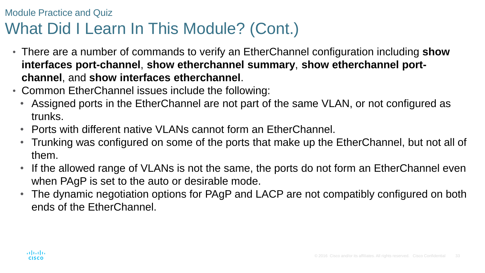#### Module Practice and Quiz What Did I Learn In This Module? (Cont.)

- There are a number of commands to verify an EtherChannel configuration including **show interfaces port-channel**, **show etherchannel summary**, **show etherchannel portchannel**, and **show interfaces etherchannel**.
- Common EtherChannel issues include the following:
	- Assigned ports in the EtherChannel are not part of the same VLAN, or not configured as trunks.
	- Ports with different native VLANs cannot form an EtherChannel.
	- Trunking was configured on some of the ports that make up the EtherChannel, but not all of them.
	- If the allowed range of VLANs is not the same, the ports do not form an EtherChannel even when PAgP is set to the auto or desirable mode.
	- The dynamic negotiation options for PAgP and LACP are not compatibly configured on both ends of the EtherChannel.